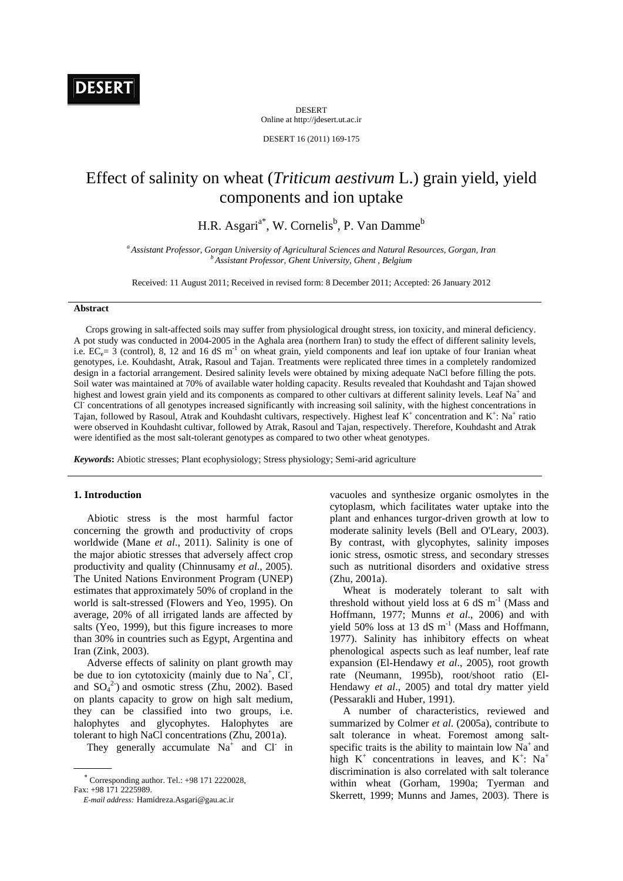DESERT Online at http://jdesert.ut.ac.ir

DESERT 16 (2011) 169-175

# Effect of salinity on wheat (*Triticum aestivum* L.) grain yield, yield components and ion uptake

H.R. Asgari<sup>a\*</sup>, W. Cornelis<sup>b</sup>, P. Van Damme<sup>b</sup>

*a Assistant Professor, Gorgan University of Agricultural Sciences and Natural Resources, Gorgan, Iran b Assistant Professor, Ghent University, Ghent , Belgium*

Received: 11 August 2011; Received in revised form: 8 December 2011; Accepted: 26 January 2012

# **Abstract**

 Crops growing in salt-affected soils may suffer from physiological drought stress, ion toxicity, and mineral deficiency. A pot study was conducted in 2004-2005 in the Aghala area (northern Iran) to study the effect of different salinity levels, i.e.  $EC_e= 3$  (control), 8, 12 and 16 dS m<sup>-1</sup> on wheat grain, yield components and leaf ion uptake of four Iranian wheat genotypes, i.e. Kouhdasht, Atrak, Rasoul and Tajan. Treatments were replicated three times in a completely randomized design in a factorial arrangement. Desired salinity levels were obtained by mixing adequate NaCl before filling the pots. Soil water was maintained at 70% of available water holding capacity. Results revealed that Kouhdasht and Tajan showed highest and lowest grain yield and its components as compared to other cultivars at different salinity levels. Leaf Na<sup>+</sup> and Cl<sup>-</sup> concentrations of all genotypes increased significantly with increasing soil salinity, with the highest concentrations in Tajan, followed by Rasoul, Atrak and Kouhdasht cultivars, respectively. Highest leaf  $K^+$  concentration and  $K^+$ : Na<sup>+</sup> ratio were observed in Kouhdasht cultivar, followed by Atrak, Rasoul and Tajan, respectively. Therefore, Kouhdasht and Atrak were identified as the most salt-tolerant genotypes as compared to two other wheat genotypes.

*Keywords***:** Abiotic stresses; Plant ecophysiology; Stress physiology; Semi-arid agriculture

#### **1. Introduction**

 Abiotic stress is the most harmful factor concerning the growth and productivity of crops worldwide (Mane *et al*., 2011). Salinity is one of the major abiotic stresses that adversely affect crop productivity and quality (Chinnusamy *et al*., 2005). The United Nations Environment Program (UNEP) estimates that approximately 50% of cropland in the world is salt-stressed (Flowers and Yeo, 1995). On average, 20% of all irrigated lands are affected by salts (Yeo, 1999), but this figure increases to more than 30% in countries such as Egypt, Argentina and Iran (Zink, 2003).

 Adverse effects of salinity on plant growth may be due to ion cytotoxicity (mainly due to  $Na^+$ , Cl, and  $SO_4^2$ ) and osmotic stress (Zhu, 2002). Based on plants capacity to grow on high salt medium, they can be classified into two groups, i.e. halophytes and glycophytes. Halophytes are tolerant to high NaCl concentrations (Zhu, 2001a).

They generally accumulate  $Na<sup>+</sup>$  and Cl in

vacuoles and synthesize organic osmolytes in the cytoplasm, which facilitates water uptake into the plant and enhances turgor-driven growth at low to moderate salinity levels (Bell and O'Leary, 2003). By contrast, with glycophytes, salinity imposes ionic stress, osmotic stress, and secondary stresses such as nutritional disorders and oxidative stress (Zhu, 2001a).

 Wheat is moderately tolerant to salt with threshold without yield loss at 6 dS  $m^{-1}$  (Mass and Hoffmann, 1977; Munns *et al*., 2006) and with yield 50% loss at 13 dS  $m^{-1}$  (Mass and Hoffmann, 1977). Salinity has inhibitory effects on wheat phenological aspects such as leaf number, leaf rate expansion (El-Hendawy *et al*., 2005), root growth rate (Neumann, 1995b), root/shoot ratio (El-Hendawy *et al*., 2005) and total dry matter yield (Pessarakli and Huber, 1991).

 A number of characteristics, reviewed and summarized by Colmer *et al*. (2005a), contribute to salt tolerance in wheat. Foremost among saltspecific traits is the ability to maintain low  $Na<sup>+</sup>$  and high  $K^+$  concentrations in leaves, and  $K^+$ : Na<sup>+</sup> discrimination is also correlated with salt tolerance within wheat (Gorham, 1990a; Tyerman and Skerrett, 1999; Munns and James, 2003). There is

 Corresponding author. Tel.: +98 171 2220028, Fax: +98 171 2225989.

*E-mail address:* Hamidreza.Asgari@gau.ac.ir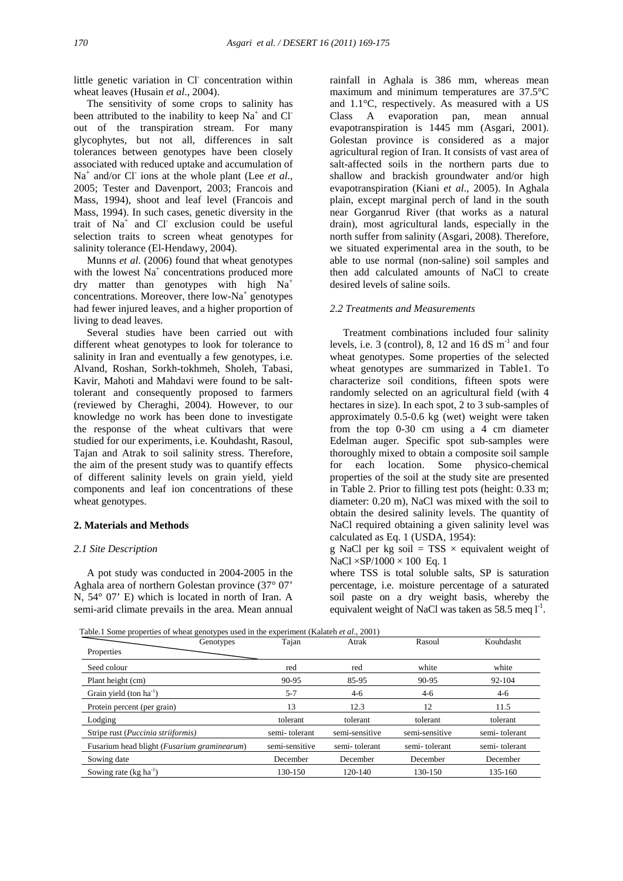little genetic variation in Cl concentration within wheat leaves (Husain *et al*., 2004).

 The sensitivity of some crops to salinity has been attributed to the inability to keep  $Na^+$  and Cl out of the transpiration stream. For many glycophytes, but not all, differences in salt tolerances between genotypes have been closely associated with reduced uptake and accumulation of Na<sup>+</sup> and/or Cl<sup>-</sup> ions at the whole plant (Lee *et al.*, 2005; Tester and Davenport, 2003; Francois and Mass, 1994), shoot and leaf level (Francois and Mass, 1994). In such cases, genetic diversity in the trait of Na<sup>+</sup> and Cl<sup>-</sup> exclusion could be useful selection traits to screen wheat genotypes for salinity tolerance (El-Hendawy, 2004).

 Munns *et al*. (2006) found that wheat genotypes with the lowest  $Na<sup>+</sup>$  concentrations produced more  $\frac{dy}{dx}$  matter than genotypes with high Na<sup>+</sup> concentrations. Moreover, there low-Na<sup>+</sup> genotypes had fewer injured leaves, and a higher proportion of living to dead leaves.

 Several studies have been carried out with different wheat genotypes to look for tolerance to salinity in Iran and eventually a few genotypes, i.e. Alvand, Roshan, Sorkh-tokhmeh, Sholeh, Tabasi, Kavir, Mahoti and Mahdavi were found to be salttolerant and consequently proposed to farmers (reviewed by Cheraghi, 2004). However, to our knowledge no work has been done to investigate the response of the wheat cultivars that were studied for our experiments, i.e. Kouhdasht, Rasoul, Tajan and Atrak to soil salinity stress. Therefore, the aim of the present study was to quantify effects of different salinity levels on grain yield, yield components and leaf ion concentrations of these wheat genotypes.

### **2. Materials and Methods**

# *2.1 Site Description*

 A pot study was conducted in 2004-2005 in the Aghala area of northern Golestan province (37° 07' N, 54° 07' E) which is located in north of Iran. A semi-arid climate prevails in the area. Mean annual

rainfall in Aghala is 386 mm, whereas mean maximum and minimum temperatures are 37.5°C and 1.1°C, respectively. As measured with a US Class A evaporation pan, mean annual evapotranspiration is 1445 mm (Asgari, 2001). Golestan province is considered as a major agricultural region of Iran. It consists of vast area of salt-affected soils in the northern parts due to shallow and brackish groundwater and/or high evapotranspiration (Kiani *et al*., 2005). In Aghala plain, except marginal perch of land in the south near Gorganrud River (that works as a natural drain), most agricultural lands, especially in the north suffer from salinity (Asgari, 2008). Therefore, we situated experimental area in the south, to be able to use normal (non-saline) soil samples and then add calculated amounts of NaCl to create desired levels of saline soils.

#### *2.2 Treatments and Measurements*

 Treatment combinations included four salinity levels, i.e. 3 (control), 8, 12 and 16 dS  $m^{-1}$  and four wheat genotypes. Some properties of the selected wheat genotypes are summarized in Table1. To characterize soil conditions, fifteen spots were randomly selected on an agricultural field (with 4 hectares in size). In each spot, 2 to 3 sub-samples of approximately 0.5-0.6 kg (wet) weight were taken from the top 0-30 cm using a 4 cm diameter Edelman auger. Specific spot sub-samples were thoroughly mixed to obtain a composite soil sample for each location. Some physico-chemical properties of the soil at the study site are presented in Table 2. Prior to filling test pots (height: 0.33 m; diameter: 0.20 m), NaCl was mixed with the soil to obtain the desired salinity levels. The quantity of NaCl required obtaining a given salinity level was calculated as Eq. 1 (USDA, 1954):

g NaCl per kg soil = TSS  $\times$  equivalent weight of  $NaCl \times SP/1000 \times 100$  Eq. 1

where TSS is total soluble salts, SP is saturation percentage, i.e. moisture percentage of a saturated soil paste on a dry weight basis, whereby the equivalent weight of NaCl was taken as 58.5 meq  $I<sup>-1</sup>$ .

Table.1 Some properties of wheat genotypes used in the experiment (Kalateh *et al*., 2001)

| Genotypes                                            | Tajan          | Atrak          | Rasoul         | Kouhdasht     |
|------------------------------------------------------|----------------|----------------|----------------|---------------|
| Properties                                           |                |                |                |               |
| Seed colour                                          | red            | red            | white          | white         |
| Plant height (cm)                                    | 90-95          | 85-95          | 90-95          | 92-104        |
| Grain yield (ton $ha^{-1}$ )                         | $5 - 7$        | $4-6$          | $4-6$          | $4-6$         |
| Protein percent (per grain)                          | 13             | 12.3           | 12             | 11.5          |
| Lodging                                              | tolerant       | tolerant       | tolerant       | tolerant      |
| Stripe rust ( <i>Puccinia striiformis</i> )          | semi-tolerant  | semi-sensitive | semi-sensitive | semi-tolerant |
| Fusarium head blight ( <i>Fusarium graminearum</i> ) | semi-sensitive | semi-tolerant  | semi-tolerant  | semi-tolerant |
| Sowing date                                          | December       | December       | December       | December      |
| Sowing rate $(kg ha^{-1})$                           | 130-150        | $120 - 140$    | 130-150        | 135-160       |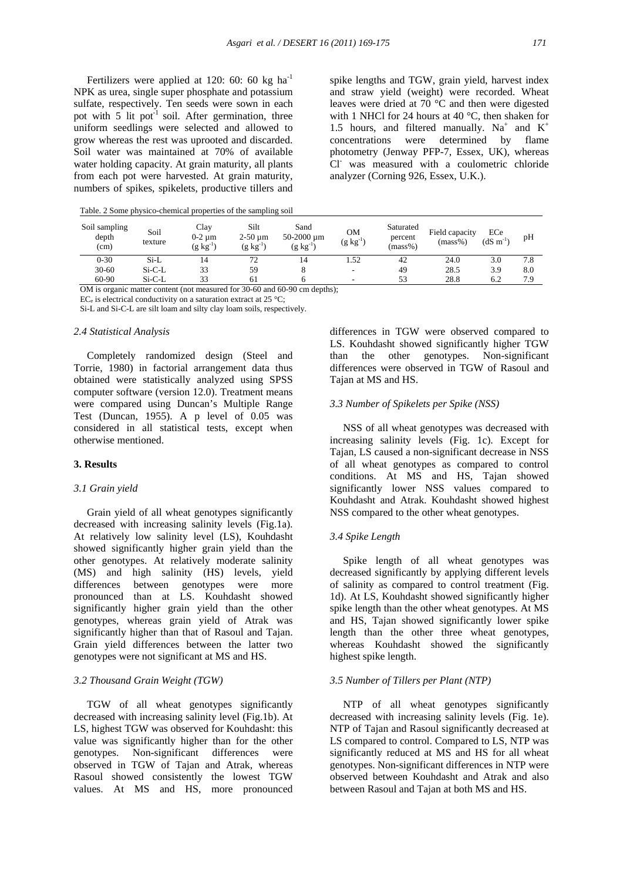Fertilizers were applied at 120: 60: 60 kg  $ha^{-1}$ NPK as urea, single super phosphate and potassium sulfate, respectively. Ten seeds were sown in each pot with  $5$  lit pot<sup>-1</sup> soil. After germination, three uniform seedlings were selected and allowed to grow whereas the rest was uprooted and discarded. Soil water was maintained at 70% of available water holding capacity. At grain maturity, all plants from each pot were harvested. At grain maturity, numbers of spikes, spikelets, productive tillers and

spike lengths and TGW, grain yield, harvest index and straw yield (weight) were recorded. Wheat leaves were dried at 70 °C and then were digested with 1 NHCl for 24 hours at 40 °C, then shaken for 1.5 hours, and filtered manually.  $Na^+$  and  $K^+$ concentrations were determined by flame photometry (Jenway PFP-7, Essex, UK), whereas Cl- was measured with a coulometric chloride analyzer (Corning 926, Essex, U.K.).

Table. 2 Some physico-chemical properties of the sampling soil

| Soil sampling<br>depth<br>(cm) | Soil<br>texture | Clay<br>0-2 um<br>$(g \; kg^{-1})$ | Silt<br>$2-50 \text{ µm}$<br>$(g \; kg^{-1})$ | Sand<br>50-2000 um<br>$(g \; kg^{-1})$ | <b>OM</b><br>$(g kg^{-1})$ | Saturated<br>percent<br>$(mass\%)$ | Field capacity<br>$(mass\%)$ | ECe<br>$(dS \; m^{-1})$ | pH  |
|--------------------------------|-----------------|------------------------------------|-----------------------------------------------|----------------------------------------|----------------------------|------------------------------------|------------------------------|-------------------------|-----|
| $0 - 30$                       | $Si-L$          | 14                                 | 72                                            | 14                                     | 1.52                       | 42                                 | 24.0                         | 3.0                     | 7.8 |
| $30 - 60$                      | $Si-C-L$        | 33                                 | 59                                            |                                        | $\overline{\phantom{a}}$   | 49                                 | 28.5                         | 3.9                     | 8.0 |
| $60 - 90$                      | $Si-C-L$        | 33                                 | 61                                            |                                        | $\overline{\phantom{0}}$   | 53                                 | 28.8                         | 6.2                     | 7.9 |

OM is organic matter content (not measured for 30-60 and 60-90 cm depths);

 $EC_e$  is electrical conductivity on a saturation extract at 25 °C;

Si-L and Si-C-L are silt loam and silty clay loam soils, respectively.

#### *2.4 Statistical Analysis*

 Completely randomized design (Steel and Torrie, 1980) in factorial arrangement data thus obtained were statistically analyzed using SPSS computer software (version 12.0). Treatment means were compared using Duncan's Multiple Range Test (Duncan, 1955). A p level of 0.05 was considered in all statistical tests, except when otherwise mentioned.

# **3. Results**

#### *3.1 Grain yield*

 Grain yield of all wheat genotypes significantly decreased with increasing salinity levels (Fig.1a). At relatively low salinity level (LS), Kouhdasht showed significantly higher grain yield than the other genotypes. At relatively moderate salinity (MS) and high salinity (HS) levels, yield differences between genotypes were more pronounced than at LS. Kouhdasht showed significantly higher grain yield than the other genotypes, whereas grain yield of Atrak was significantly higher than that of Rasoul and Tajan. Grain yield differences between the latter two genotypes were not significant at MS and HS.

### *3.2 Thousand Grain Weight (TGW)*

 TGW of all wheat genotypes significantly decreased with increasing salinity level (Fig.1b). At LS, highest TGW was observed for Kouhdasht: this value was significantly higher than for the other genotypes. Non-significant differences were observed in TGW of Tajan and Atrak, whereas Rasoul showed consistently the lowest TGW values. At MS and HS, more pronounced

differences in TGW were observed compared to LS. Kouhdasht showed significantly higher TGW than the other genotypes. Non-significant differences were observed in TGW of Rasoul and Tajan at MS and HS.

#### *3.3 Number of Spikelets per Spike (NSS)*

 NSS of all wheat genotypes was decreased with increasing salinity levels (Fig. 1c). Except for Tajan, LS caused a non-significant decrease in NSS of all wheat genotypes as compared to control conditions. At MS and HS, Tajan showed significantly lower NSS values compared to Kouhdasht and Atrak. Kouhdasht showed highest NSS compared to the other wheat genotypes.

#### *3.4 Spike Length*

 Spike length of all wheat genotypes was decreased significantly by applying different levels of salinity as compared to control treatment (Fig. 1d). At LS, Kouhdasht showed significantly higher spike length than the other wheat genotypes. At MS and HS, Tajan showed significantly lower spike length than the other three wheat genotypes, whereas Kouhdasht showed the significantly highest spike length.

#### *3.5 Number of Tillers per Plant (NTP)*

 NTP of all wheat genotypes significantly decreased with increasing salinity levels (Fig. 1e). NTP of Tajan and Rasoul significantly decreased at LS compared to control. Compared to LS, NTP was significantly reduced at MS and HS for all wheat genotypes. Non-significant differences in NTP were observed between Kouhdasht and Atrak and also between Rasoul and Tajan at both MS and HS.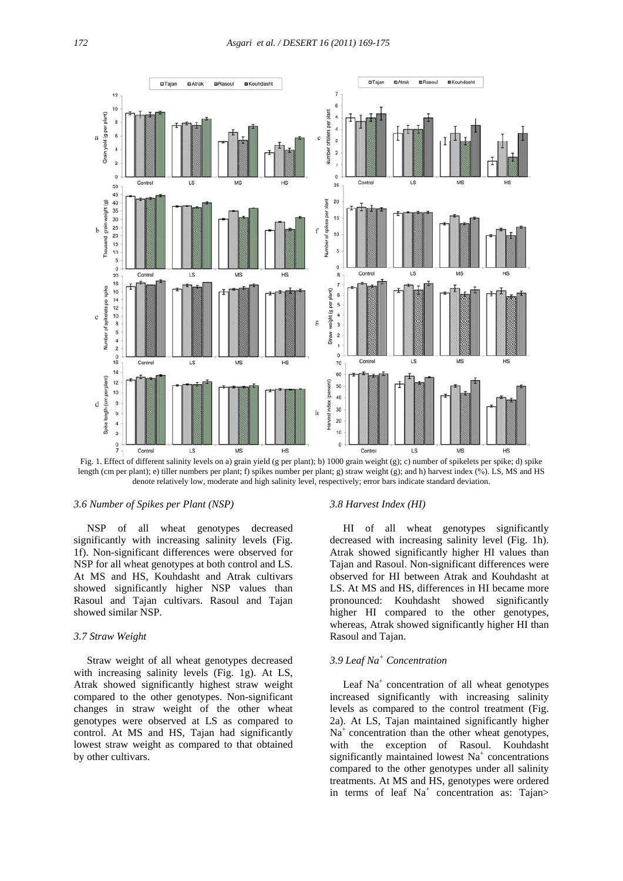

Fig. 1. Effect of different salinity levels on a) grain yield (g per plant); b) 1000 grain weight (g); c) number of spikelets per spike; d) spike length (cm per plant); e) tiller numbers per plant; f) spikes number per plant; g) straw weight (g); and h) harvest index (%). LS, MS and HS denote relatively low, moderate and high salinity level, respectively; error bars indicate standard deviation.

#### *3.6 Number of Spikes per Plant (NSP)*

 NSP of all wheat genotypes decreased significantly with increasing salinity levels (Fig. 1f). Non-significant differences were observed for NSP for all wheat genotypes at both control and LS. At MS and HS, Kouhdasht and Atrak cultivars showed significantly higher NSP values than Rasoul and Tajan cultivars. Rasoul and Tajan showed similar NSP.

#### *3.7 Straw Weight*

 Straw weight of all wheat genotypes decreased with increasing salinity levels (Fig. 1g). At LS, Atrak showed significantly highest straw weight compared to the other genotypes. Non-significant changes in straw weight of the other wheat genotypes were observed at LS as compared to control. At MS and HS, Tajan had significantly lowest straw weight as compared to that obtained by other cultivars.

#### *3.8 Harvest Index (HI)*

 HI of all wheat genotypes significantly decreased with increasing salinity level (Fig. 1h). Atrak showed significantly higher HI values than Tajan and Rasoul. Non-significant differences were observed for HI between Atrak and Kouhdasht at LS. At MS and HS, differences in HI became more pronounced: Kouhdasht showed significantly higher HI compared to the other genotypes, whereas, Atrak showed significantly higher HI than Rasoul and Tajan.

# *3.9 Leaf Na<sup>+</sup> Concentration*

Leaf  $Na<sup>+</sup>$  concentration of all wheat genotypes increased significantly with increasing salinity levels as compared to the control treatment (Fig. 2a). At LS, Tajan maintained significantly higher  $Na<sup>+</sup>$  concentration than the other wheat genotypes, with the exception of Rasoul. Kouhdasht significantly maintained lowest Na<sup>+</sup> concentrations compared to the other genotypes under all salinity treatments. At MS and HS, genotypes were ordered in terms of leaf  $Na<sup>+</sup>$  concentration as: Tajan>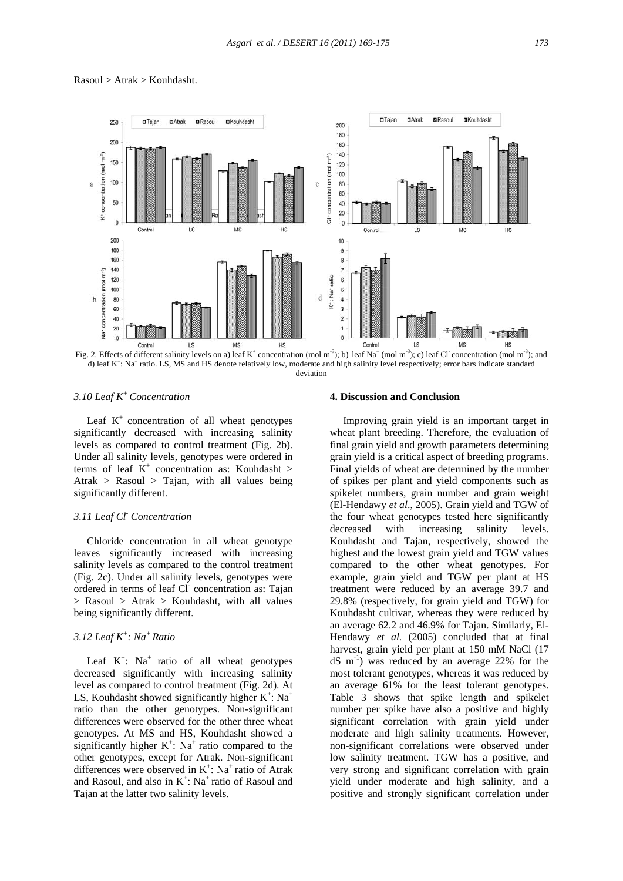

#### Rasoul > Atrak > Kouhdasht.



#### *3.10 Leaf K+ Concentration*

Leaf  $K^+$  concentration of all wheat genotypes significantly decreased with increasing salinity levels as compared to control treatment (Fig. 2b). Under all salinity levels, genotypes were ordered in terms of leaf  $K^+$  concentration as: Kouhdasht > Atrak > Rasoul > Tajan, with all values being significantly different.

# *3.11 Leaf Cl- Concentration*

 Chloride concentration in all wheat genotype leaves significantly increased with increasing salinity levels as compared to the control treatment (Fig. 2c). Under all salinity levels, genotypes were ordered in terms of leaf Cl concentration as: Tajan > Rasoul > Atrak > Kouhdasht, with all values being significantly different.

# *3.12 Leaf K+ : Na+ Ratio*

Leaf  $K^+$ : Na<sup>+</sup> ratio of all wheat genotypes decreased significantly with increasing salinity level as compared to control treatment (Fig. 2d). At LS, Kouhdasht showed significantly higher  $K^+$ : Na<sup>+</sup> ratio than the other genotypes. Non-significant differences were observed for the other three wheat genotypes. At MS and HS, Kouhdasht showed a significantly higher  $K^+$ : Na<sup>+</sup> ratio compared to the other genotypes, except for Atrak. Non-significant differences were observed in  $K^+$ : Na<sup>+</sup> ratio of Atrak and Rasoul, and also in  $K^+$ : Na<sup>+</sup> ratio of Rasoul and Tajan at the latter two salinity levels.

# **4. Discussion and Conclusion**

 Improving grain yield is an important target in wheat plant breeding. Therefore, the evaluation of final grain yield and growth parameters determining grain yield is a critical aspect of breeding programs. Final yields of wheat are determined by the number of spikes per plant and yield components such as spikelet numbers, grain number and grain weight (El-Hendawy *et al*., 2005). Grain yield and TGW of the four wheat genotypes tested here significantly decreased with increasing salinity levels. Kouhdasht and Tajan, respectively, showed the highest and the lowest grain yield and TGW values compared to the other wheat genotypes. For example, grain yield and TGW per plant at HS treatment were reduced by an average 39.7 and 29.8% (respectively, for grain yield and TGW) for Kouhdasht cultivar, whereas they were reduced by an average 62.2 and 46.9% for Tajan. Similarly, El-Hendawy *et al*. (2005) concluded that at final harvest, grain yield per plant at 150 mM NaCl (17  $dS$  m<sup>-1</sup>) was reduced by an average 22% for the most tolerant genotypes, whereas it was reduced by an average 61% for the least tolerant genotypes. Table 3 shows that spike length and spikelet number per spike have also a positive and highly significant correlation with grain yield under moderate and high salinity treatments. However, non-significant correlations were observed under low salinity treatment. TGW has a positive, and very strong and significant correlation with grain yield under moderate and high salinity, and a positive and strongly significant correlation under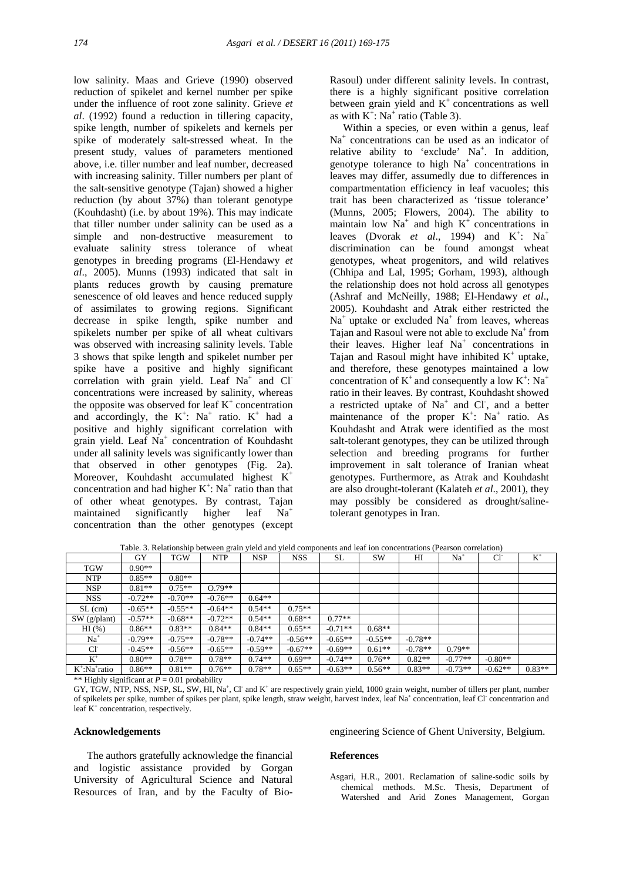low salinity. Maas and Grieve (1990) observed reduction of spikelet and kernel number per spike under the influence of root zone salinity. Grieve *et al*. (1992) found a reduction in tillering capacity, spike length, number of spikelets and kernels per spike of moderately salt-stressed wheat. In the present study, values of parameters mentioned above, i.e. tiller number and leaf number, decreased with increasing salinity. Tiller numbers per plant of the salt-sensitive genotype (Tajan) showed a higher reduction (by about 37%) than tolerant genotype (Kouhdasht) (i.e. by about 19%). This may indicate that tiller number under salinity can be used as a simple and non-destructive measurement to evaluate salinity stress tolerance of wheat genotypes in breeding programs (El-Hendawy *et al*., 2005). Munns (1993) indicated that salt in plants reduces growth by causing premature senescence of old leaves and hence reduced supply of assimilates to growing regions. Significant decrease in spike length, spike number and spikelets number per spike of all wheat cultivars was observed with increasing salinity levels. Table 3 shows that spike length and spikelet number per spike have a positive and highly significant correlation with grain yield. Leaf Na<sup>+</sup> and Cl concentrations were increased by salinity, whereas the opposite was observed for leaf  $K^+$  concentration and accordingly, the  $K^+$ : Na<sup>+</sup> ratio.  $K^+$  had a positive and highly significant correlation with grain yield. Leaf Na<sup>+</sup> concentration of Kouhdasht under all salinity levels was significantly lower than that observed in other genotypes (Fig. 2a). Moreover, Kouhdasht accumulated highest K<sup>+</sup> concentration and had higher  $K^+$ : Na<sup>+</sup> ratio than that of other wheat genotypes. By contrast, Tajan maintained significantly higher leaf Na+ concentration than the other genotypes (except Rasoul) under different salinity levels. In contrast, there is a highly significant positive correlation between grain yield and  $K^+$  concentrations as well as with  $K^+$ : Na<sup>+</sup> ratio (Table 3).

 Within a species, or even within a genus, leaf Na<sup>+</sup> concentrations can be used as an indicator of relative ability to 'exclude'  $Na^+$ . In addition, genotype tolerance to high Na<sup>+</sup> concentrations in leaves may differ, assumedly due to differences in compartmentation efficiency in leaf vacuoles; this trait has been characterized as 'tissue tolerance' (Munns, 2005; Flowers, 2004). The ability to maintain low  $Na<sup>+</sup>$  and high  $K<sup>+</sup>$  concentrations in leaves (Dvorak *et al.*, 1994) and  $K^+$ : Na<sup>+</sup> discrimination can be found amongst wheat genotypes, wheat progenitors, and wild relatives (Chhipa and Lal, 1995; Gorham, 1993), although the relationship does not hold across all genotypes (Ashraf and McNeilly, 1988; El-Hendawy *et al*., 2005). Kouhdasht and Atrak either restricted the  $Na<sup>+</sup>$  uptake or excluded  $Na<sup>+</sup>$  from leaves, whereas Tajan and Rasoul were not able to exclude  $Na<sup>+</sup>$  from their leaves. Higher leaf Na<sup>+</sup> concentrations in Tajan and Rasoul might have inhibited  $K^+$  uptake, and therefore, these genotypes maintained a low concentration of  $K^+$  and consequently a low  $K^+$ : Na<sup>+</sup> ratio in their leaves. By contrast, Kouhdasht showed a restricted uptake of  $Na<sup>+</sup>$  and Cl, and a better maintenance of the proper  $K^+$ : Na<sup>+</sup> ratio. As Kouhdasht and Atrak were identified as the most salt-tolerant genotypes, they can be utilized through selection and breeding programs for further improvement in salt tolerance of Iranian wheat genotypes. Furthermore, as Atrak and Kouhdasht are also drought-tolerant (Kalateh *et al*., 2001), they may possibly be considered as drought/salinetolerant genotypes in Iran.

| Table. 3. Relationship between grain yield and yield components and lear ion concentrations (Fearson correlation) |           |            |            |            |            |           |           |           |                 |                 |          |
|-------------------------------------------------------------------------------------------------------------------|-----------|------------|------------|------------|------------|-----------|-----------|-----------|-----------------|-----------------|----------|
|                                                                                                                   | GY        | <b>TGW</b> | <b>NTP</b> | <b>NSP</b> | <b>NSS</b> | SL        | SW        | HI        | Na <sup>+</sup> | CI <sub>1</sub> | $K^+$    |
| <b>TGW</b>                                                                                                        | $0.90**$  |            |            |            |            |           |           |           |                 |                 |          |
| NTP                                                                                                               | $0.85**$  | $0.80**$   |            |            |            |           |           |           |                 |                 |          |
| NSP                                                                                                               | $0.81**$  | $0.75**$   | $0.79**$   |            |            |           |           |           |                 |                 |          |
| <b>NSS</b>                                                                                                        | $-0.72**$ | $-0.70**$  | $-0.76**$  | $0.64**$   |            |           |           |           |                 |                 |          |
| $SL$ (cm)                                                                                                         | $-0.65**$ | $-0.55**$  | $-0.64**$  | $0.54**$   | $0.75**$   |           |           |           |                 |                 |          |
| SW(g/plant)                                                                                                       | $-0.57**$ | $-0.68**$  | $-0.72**$  | $0.54**$   | $0.68**$   | $0.77**$  |           |           |                 |                 |          |
| $HI$ (%)                                                                                                          | $0.86**$  | $0.83**$   | $0.84**$   | $0.84**$   | $0.65**$   | $-0.71**$ | $0.68**$  |           |                 |                 |          |
| $Na+$                                                                                                             | $-0.79**$ | $-0.75**$  | $-0.78**$  | $-0.74**$  | $-0.56**$  | $-0.65**$ | $-0.55**$ | $-0.78**$ |                 |                 |          |
| Cl <sup>-</sup>                                                                                                   | $-0.45**$ | $-0.56**$  | $-0.65**$  | $-0.59**$  | $-0.67**$  | $-0.69**$ | $0.61**$  | $-0.78**$ | $0.79**$        |                 |          |
| $K^+$                                                                                                             | $0.80**$  | $0.78**$   | $0.78**$   | $0.74**$   | $0.69**$   | $-0.74**$ | $0.76**$  | $0.82**$  | $-0.77**$       | $-0.80**$       |          |
| $K^*$ :Na $^*$ ratio                                                                                              | $0.86**$  | $0.81**$   | $0.76**$   | $0.78**$   | $0.65**$   | $-0.63**$ | $0.56**$  | $0.83**$  | $-0.73**$       | $-0.62**$       | $0.83**$ |

Table. 3. Relationship between grain yield and yield components and leaf ion concentrations (Pearson correlation)

\*\* Highly significant at *P* = 0.01 probability

GY, TGW, NTP, NSS, NSP, SL, SW, HI, Na<sup>+</sup>, Cl and K<sup>+</sup> are respectively grain yield, 1000 grain weight, number of tillers per plant, number of spikelets per spike, number of spikes per plant, spike length, straw weight, harvest index, leaf Na<sup>+</sup> concentration, leaf Cl<sup>-</sup> concentration and leaf K<sup>+</sup> concentration, respectively.

# **Acknowledgements**

 The authors gratefully acknowledge the financial and logistic assistance provided by Gorgan University of Agricultural Science and Natural Resources of Iran, and by the Faculty of Bio-

# engineering Science of Ghent University, Belgium.

# **References**

Asgari, H.R., 2001. Reclamation of saline-sodic soils by chemical methods. M.Sc. Thesis, Department of Watershed and Arid Zones Management, Gorgan